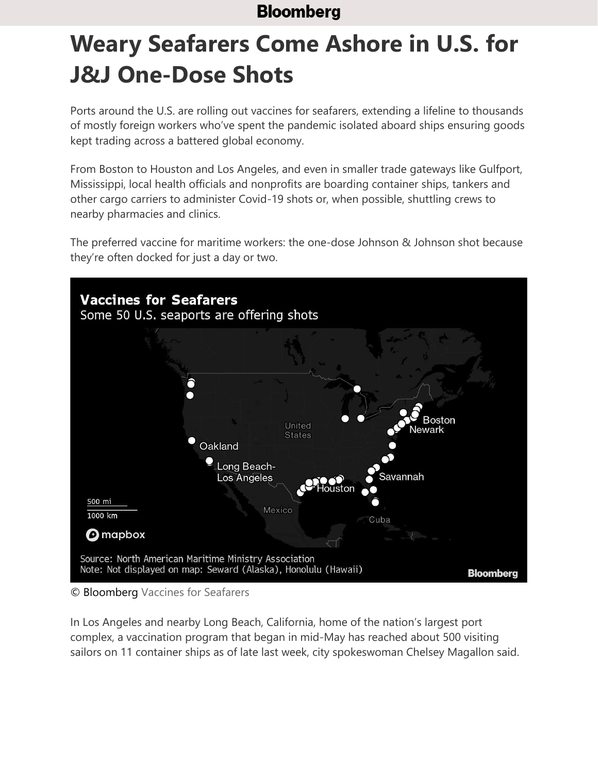## **Bloomberg**

## **Weary Seafarers Come Ashore in U.S. for J&J One-Dose Shots**

Ports around the U.S. are rolling out vaccines for seafarers, extending a lifeline to thousands of mostly foreign workers who've spent the pandemic isolated aboard ships ensuring goods kept trading across a battered global economy.

From Boston to Houston and Los Angeles, and even in smaller trade gateways like Gulfport, Mississippi, local health officials and nonprofits are boarding container ships, tankers and other cargo carriers to administer Covid-19 shots or, when possible, shuttling crews to nearby pharmacies and clinics.

The preferred vaccine for maritime workers: the one-dose Johnson & Johnson shot because they're often docked for just a day or two.



© Bloomberg Vaccines for Seafarers

In Los Angeles and nearby Long Beach, California, home of the nation's largest port complex, a vaccination program that began in mid-May has reached about 500 visiting sailors on 11 container ships as of late last week, city spokeswoman Chelsey Magallon said.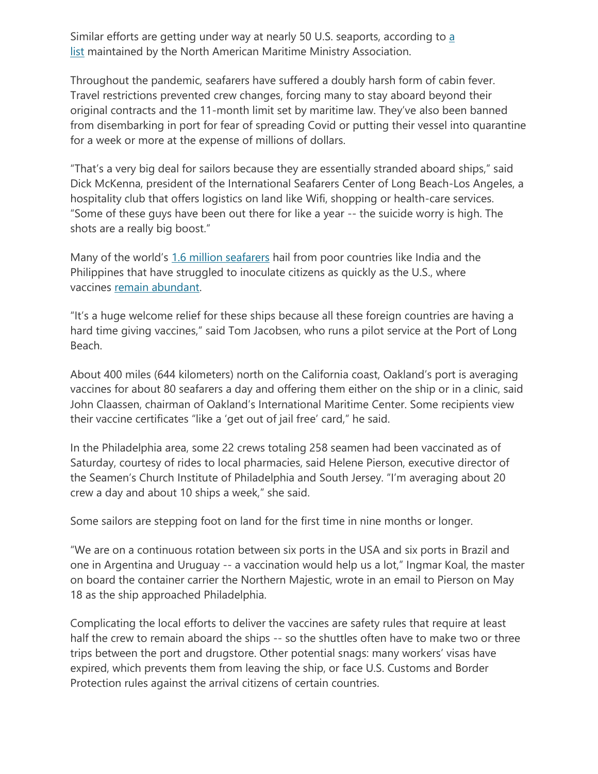Similar efforts are getting under way at nearly 50 U.S. seaports, according to a [list](https://namma.org/vaccines/) maintained by the North American Maritime Ministry Association.

Throughout the pandemic, seafarers have suffered a doubly harsh form of cabin fever. Travel restrictions prevented crew changes, forcing many to stay aboard beyond their original contracts and the 11-month limit set by maritime law. They've also been banned from disembarking in port for fear of spreading Covid or putting their vessel into quarantine for a week or more at the expense of millions of dollars.

"That's a very big deal for sailors because they are essentially stranded aboard ships," said Dick McKenna, president of the International Seafarers Center of Long Beach-Los Angeles, a hospitality club that offers logistics on land like Wifi, shopping or health-care services. "Some of these guys have been out there for like a year -- the suicide worry is high. The shots are a really big boost."

Many of the world's [1.6 million seafarers](https://www.ics-shipping.org/shipping-fact/shipping-and-world-trade-global-supply-and-demand-for-seafarers/#:~:text=in%20freight%20rates.-,Global%20Supply%20and%20Demand%20for%20Seafarers,officers%20and%20873%2C500%20are%20ratings.) hail from poor countries like India and the Philippines that have struggled to inoculate citizens as quickly as the U.S., where vaccines [remain abundant.](https://www.bloomberg.com/news/articles/2021-02-27/johnson-johnson-covid-19-vaccine-is-cleared-for-use-in-u-s)

"It's a huge welcome relief for these ships because all these foreign countries are having a hard time giving vaccines," said Tom Jacobsen, who runs a pilot service at the Port of Long Beach.

About 400 miles (644 kilometers) north on the California coast, Oakland's port is averaging vaccines for about 80 seafarers a day and offering them either on the ship or in a clinic, said John Claassen, chairman of Oakland's International Maritime Center. Some recipients view their vaccine certificates "like a 'get out of jail free' card," he said.

In the Philadelphia area, some 22 crews totaling 258 seamen had been vaccinated as of Saturday, courtesy of rides to local pharmacies, said Helene Pierson, executive director of the Seamen's Church Institute of Philadelphia and South Jersey. "I'm averaging about 20 crew a day and about 10 ships a week," she said.

Some sailors are stepping foot on land for the first time in nine months or longer.

"We are on a continuous rotation between six ports in the USA and six ports in Brazil and one in Argentina and Uruguay -- a vaccination would help us a lot," Ingmar Koal, the master on board the container carrier the Northern Majestic, wrote in an email to Pierson on May 18 as the ship approached Philadelphia.

Complicating the local efforts to deliver the vaccines are safety rules that require at least half the crew to remain aboard the ships -- so the shuttles often have to make two or three trips between the port and drugstore. Other potential snags: many workers' visas have expired, which prevents them from leaving the ship, or face U.S. Customs and Border Protection rules against the arrival citizens of certain countries.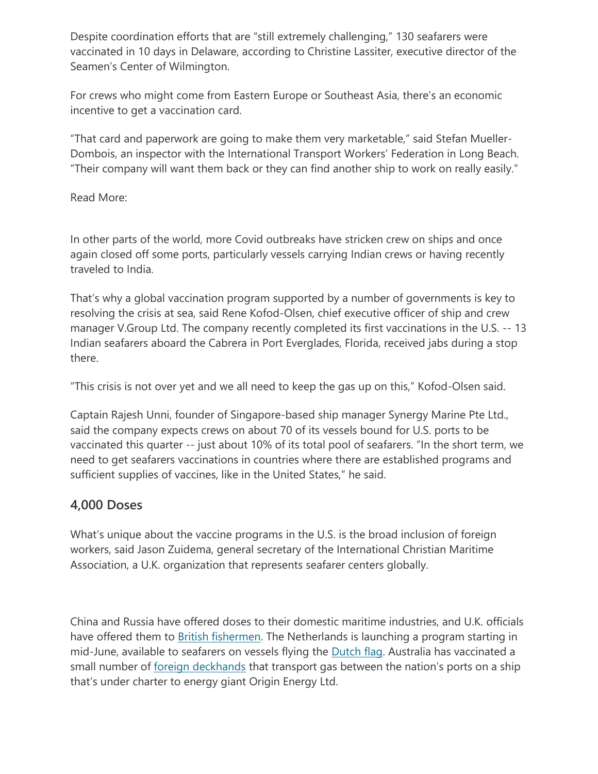Despite coordination efforts that are "still extremely challenging," 130 seafarers were vaccinated in 10 days in Delaware, according to Christine Lassiter, executive director of the Seamen's Center of Wilmington.

For crews who might come from Eastern Europe or Southeast Asia, there's an economic incentive to get a vaccination card.

"That card and paperwork are going to make them very marketable," said Stefan Mueller-Dombois, an inspector with the International Transport Workers' Federation in Long Beach. "Their company will want them back or they can find another ship to work on really easily."

Read More:

In other parts of the world, more Covid outbreaks have stricken crew on ships and once again closed off some ports, particularly vessels carrying Indian crews or having recently traveled to India.

That's why a global vaccination program supported by a number of governments is key to resolving the crisis at sea, said Rene Kofod-Olsen, chief executive officer of ship and crew manager V.Group Ltd. The company recently completed its first vaccinations in the U.S. -- 13 Indian seafarers aboard the Cabrera in Port Everglades, Florida, received jabs during a stop there.

"This crisis is not over yet and we all need to keep the gas up on this," Kofod-Olsen said.

Captain Rajesh Unni, founder of Singapore-based ship manager Synergy Marine Pte Ltd., said the company expects crews on about 70 of its vessels bound for U.S. ports to be vaccinated this quarter -- just about 10% of its total pool of seafarers. "In the short term, we need to get seafarers vaccinations in countries where there are established programs and sufficient supplies of vaccines, like in the United States," he said.

## **4,000 Doses**

What's unique about the vaccine programs in the U.S. is the broad inclusion of foreign workers, said Jason Zuidema, general secretary of the International Christian Maritime Association, a U.K. organization that represents seafarer centers globally.

China and Russia have offered doses to their domestic maritime industries, and U.K. officials have offered them to **British fishermen**. The Netherlands is launching a program starting in mid-June, available to seafarers on vessels flying the [Dutch flag.](https://nlflag.nl/netherlands-launches-vaccination-programme-seafarers) Australia has vaccinated a small number of [foreign deckhands](https://www.mua.org.au/news/australian-first-covid-vaccinations-foreign-seafarers-port-botany-must-be-extended-nationally) that transport gas between the nation's ports on a ship that's under charter to energy giant Origin Energy Ltd.